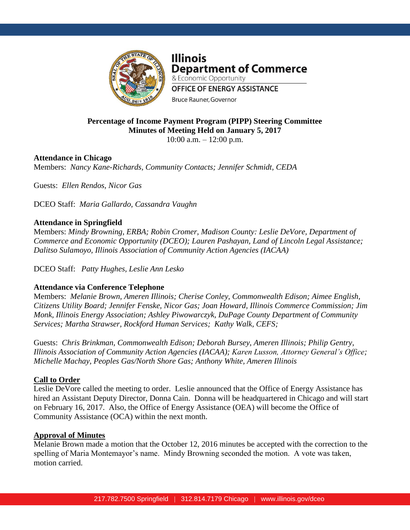

**Illinois Department of Commerce** & Economic Opportunity **OFFICE OF ENERGY ASSISTANCE Bruce Rauner, Governor** 

## **Percentage of Income Payment Program (PIPP) Steering Committee Minutes of Meeting Held on January 5, 2017** 10:00 a.m. – 12:00 p.m.

# **Attendance in Chicago**

Members: *Nancy Kane-Richards, Community Contacts; Jennifer Schmidt, CEDA*

Guests: *Ellen Rendos, Nicor Gas*

DCEO Staff: *Maria Gallardo, Cassandra Vaughn*

## **Attendance in Springfield**

Members: *Mindy Browning, ERBA; Robin Cromer, Madison County: Leslie DeVore, Department of Commerce and Economic Opportunity (DCEO); Lauren Pashayan, Land of Lincoln Legal Assistance; Dalitso Sulamoyo, Illinois Association of Community Action Agencies (IACAA)*

DCEO Staff: *Patty Hughes, Leslie Ann Lesko*

# **Attendance via Conference Telephone**

Members: *Melanie Brown, Ameren Illinois; Cherise Conley, Commonwealth Edison; Aimee English, Citizens Utility Board; Jennifer Fenske, Nicor Gas; Joan Howard, Illinois Commerce Commission; Jim Monk, Illinois Energy Association; Ashley Piwowarczyk, DuPage County Department of Community Services; Martha Strawser, Rockford Human Services; Kathy Walk, CEFS;* 

Guests: *Chris Brinkman, Commonwealth Edison; Deborah Bursey, Ameren Illinois; Philip Gentry, Illinois Association of Community Action Agencies (IACAA); Karen Lusson, Attorney General's Office; Michelle Machay, Peoples Gas/North Shore Gas; Anthony White, Ameren Illinois*

#### **Call to Order**

Leslie DeVore called the meeting to order. Leslie announced that the Office of Energy Assistance has hired an Assistant Deputy Director, Donna Cain. Donna will be headquartered in Chicago and will start on February 16, 2017. Also, the Office of Energy Assistance (OEA) will become the Office of Community Assistance (OCA) within the next month.

#### **Approval of Minutes**

Melanie Brown made a motion that the October 12, 2016 minutes be accepted with the correction to the spelling of Maria Montemayor's name. Mindy Browning seconded the motion. A vote was taken, motion carried.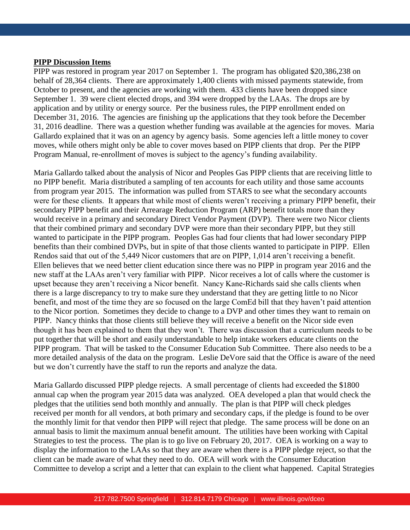#### **PIPP Discussion Items**

PIPP was restored in program year 2017 on September 1. The program has obligated \$20,386,238 on behalf of 28,364 clients. There are approximately 1,400 clients with missed payments statewide, from October to present, and the agencies are working with them. 433 clients have been dropped since September 1. 39 were client elected drops, and 394 were dropped by the LAAs. The drops are by application and by utility or energy source. Per the business rules, the PIPP enrollment ended on December 31, 2016. The agencies are finishing up the applications that they took before the December 31, 2016 deadline. There was a question whether funding was available at the agencies for moves. Maria Gallardo explained that it was on an agency by agency basis. Some agencies left a little money to cover moves, while others might only be able to cover moves based on PIPP clients that drop. Per the PIPP Program Manual, re-enrollment of moves is subject to the agency's funding availability.

Maria Gallardo talked about the analysis of Nicor and Peoples Gas PIPP clients that are receiving little to no PIPP benefit. Maria distributed a sampling of ten accounts for each utility and those same accounts from program year 2015. The information was pulled from STARS to see what the secondary accounts were for these clients. It appears that while most of clients weren't receiving a primary PIPP benefit, their secondary PIPP benefit and their Arrearage Reduction Program (ARP) benefit totals more than they would receive in a primary and secondary Direct Vendor Payment (DVP). There were two Nicor clients that their combined primary and secondary DVP were more than their secondary PIPP, but they still wanted to participate in the PIPP program. Peoples Gas had four clients that had lower secondary PIPP benefits than their combined DVPs, but in spite of that those clients wanted to participate in PIPP. Ellen Rendos said that out of the 5,449 Nicor customers that are on PIPP, 1,014 aren't receiving a benefit. Ellen believes that we need better client education since there was no PIPP in program year 2016 and the new staff at the LAAs aren't very familiar with PIPP. Nicor receives a lot of calls where the customer is upset because they aren't receiving a Nicor benefit. Nancy Kane-Richards said she calls clients when there is a large discrepancy to try to make sure they understand that they are getting little to no Nicor benefit, and most of the time they are so focused on the large ComEd bill that they haven't paid attention to the Nicor portion. Sometimes they decide to change to a DVP and other times they want to remain on PIPP. Nancy thinks that those clients still believe they will receive a benefit on the Nicor side even though it has been explained to them that they won't. There was discussion that a curriculum needs to be put together that will be short and easily understandable to help intake workers educate clients on the PIPP program. That will be tasked to the Consumer Education Sub Committee. There also needs to be a more detailed analysis of the data on the program. Leslie DeVore said that the Office is aware of the need but we don't currently have the staff to run the reports and analyze the data.

Maria Gallardo discussed PIPP pledge rejects. A small percentage of clients had exceeded the \$1800 annual cap when the program year 2015 data was analyzed. OEA developed a plan that would check the pledges that the utilities send both monthly and annually. The plan is that PIPP will check pledges received per month for all vendors, at both primary and secondary caps, if the pledge is found to be over the monthly limit for that vendor then PIPP will reject that pledge. The same process will be done on an annual basis to limit the maximum annual benefit amount. The utilities have been working with Capital Strategies to test the process. The plan is to go live on February 20, 2017. OEA is working on a way to display the information to the LAAs so that they are aware when there is a PIPP pledge reject, so that the client can be made aware of what they need to do. OEA will work with the Consumer Education Committee to develop a script and a letter that can explain to the client what happened. Capital Strategies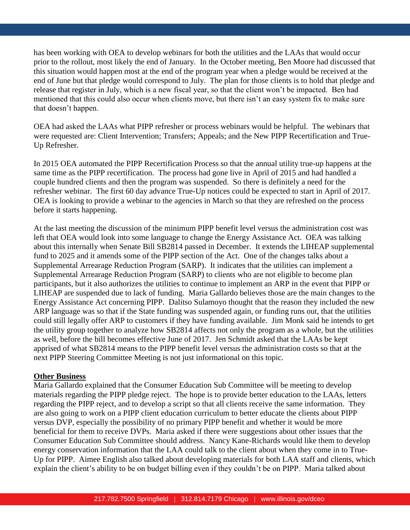has been working with OEA to develop webinars for both the utilities and the LAAs that would occur prior to the rollout, most likely the end of January. In the October meeting, Ben Moore had discussed that this situation would happen most at the end of the program year when a pledge would be received at the end of June but that pledge would correspond to July. The plan for those clients is to hold that pledge and release that register in July, which is a new fiscal year, so that the client won't be impacted. Ben had mentioned that this could also occur when clients move, but there isn't an easy system fix to make sure that doesn't happen.

OEA had asked the LAAs what PIPP refresher or process webinars would be helpful. The webinars that were requested are: Client Intervention; Transfers; Appeals; and the New PIPP Recertification and True-Up Refresher.

In 2015 OEA automated the PIPP Recertification Process so that the annual utility true-up happens at the same time as the PIPP recertification. The process had gone live in April of 2015 and had handled a couple hundred clients and then the program was suspended. So there is definitely a need for the refresher webinar. The first 60 day advance True-Up notices could be expected to start in April of 2017. OEA is looking to provide a webinar to the agencies in March so that they are refreshed on the process before it starts happening.

At the last meeting the discussion of the minimum PIPP benefit level versus the administration cost was left that OEA would look into some language to change the Energy Assistance Act. OEA was talking about this internally when Senate Bill SB2814 passed in December. It extends the LIHEAP supplemental fund to 2025 and it amends some of the PIPP section of the Act. One of the changes talks about a Supplemental Arrearage Reduction Program (SARP). It indicates that the utilities can implement a Supplemental Arrearage Reduction Program (SARP) to clients who are not eligible to become plan participants, but it also authorizes the utilities to continue to implement an ARP in the event that PIPP or LIHEAP are suspended due to lack of funding. Maria Gallardo believes those are the main changes to the Energy Assistance Act concerning PIPP. Dalitso Sulamoyo thought that the reason they included the new ARP language was so that if the State funding was suspended again, or funding runs out, that the utilities could still legally offer ARP to customers if they have funding available. Jim Monk said he intends to get the utility group together to analyze how SB2814 affects not only the program as a whole, but the utilities as well, before the bill becomes effective June of 2017. Jen Schmidt asked that the LAAs be kept apprised of what SB2814 means to the PIPP benefit level versus the administration costs so that at the next PIPP Steering Committee Meeting is not just informational on this topic.

#### **Other Business**

Maria Gallardo explained that the Consumer Education Sub Committee will be meeting to develop materials regarding the PIPP pledge reject. The hope is to provide better education to the LAAs, letters regarding the PIPP reject, and to develop a script so that all clients receive the same information. They are also going to work on a PIPP client education curriculum to better educate the clients about PIPP versus DVP, especially the possibility of no primary PIPP benefit and whether it would be more beneficial for them to receive DVPs. Maria asked if there were suggestions about other issues that the Consumer Education Sub Committee should address. Nancy Kane-Richards would like them to develop energy conservation information that the LAA could talk to the client about when they come in to True-Up for PIPP. Aimee English also talked about developing materials for both LAA staff and clients, which explain the client's ability to be on budget billing even if they couldn't be on PIPP. Maria talked about